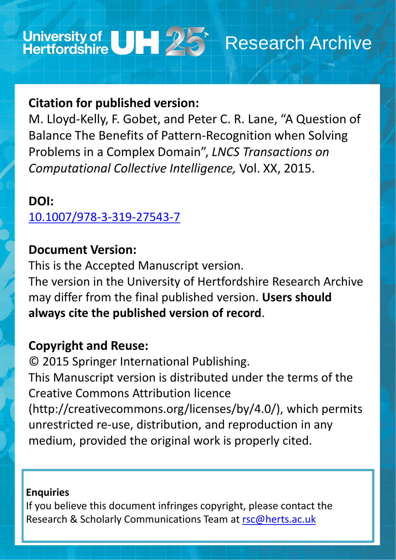

## **Citation for published version:**

M. Lloyd-Kelly, F. Gobet, and Peter C. R. Lane, "A Question of Balance The Benefits of Pattern-Recognition when Solving Problems in a Complex Domain", *LNCS Transactions on Computational Collective Intelligence,* Vol. XX, 2015.

### **DOI:**

[10.1007/978-3-319-27543-7](http://www.springer.com/gb/book/9783319275420)

## **Document Version:**

This is the Accepted Manuscript version. The version in the University of Hertfordshire Research Archive may differ from the final published version. **Users should always cite the published version of record**.

### If you believe this document infringes copyright, please contact the Research & Scholarly Communications Team at [rsc@herts.ac.uk](mailto:rsc@herts.ac.uk)

# **Copyright and Reuse:**

© 2015 Springer International Publishing. This Manuscript version is distributed under the terms of the Creative Commons Attribution licence (http://creativecommons.org/licenses/by/4.0/), which permits unrestricted re-use, distribution, and reproduction in any medium, provided the original work is properly cited.

### **Enquiries**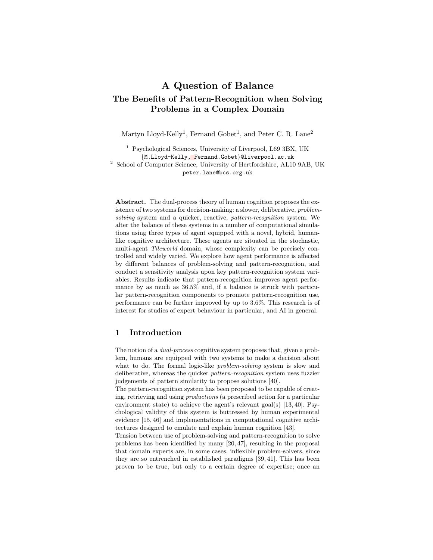### A Question of Balance The Benefits of Pattern-Recognition when Solving Problems in a Complex Domain

Martyn Lloyd-Kelly<sup>1</sup>, Fernand Gobet<sup>1</sup>, and Peter C. R. Lane<sup>2</sup>

<sup>1</sup> Psychological Sciences, University of Liverpool, L69 3BX, UK {M.Lloyd-Kelly, Fernand.Gobet}@liverpool.ac.uk <sup>2</sup> School of Computer Science, University of Hertfordshire, AL10 9AB, UK peter.lane@bcs.org.uk

Abstract. The dual-process theory of human cognition proposes the existence of two systems for decision-making: a slower, deliberative, problemsolving system and a quicker, reactive, pattern-recognition system. We alter the balance of these systems in a number of computational simulations using three types of agent equipped with a novel, hybrid, humanlike cognitive architecture. These agents are situated in the stochastic, multi-agent Tileworld domain, whose complexity can be precisely controlled and widely varied. We explore how agent performance is affected by different balances of problem-solving and pattern-recognition, and conduct a sensitivity analysis upon key pattern-recognition system variables. Results indicate that pattern-recognition improves agent performance by as much as 36.5% and, if a balance is struck with particular pattern-recognition components to promote pattern-recognition use, performance can be further improved by up to 3.6%. This research is of interest for studies of expert behaviour in particular, and AI in general.

#### 1 Introduction

The notion of a *dual-process* cognitive system proposes that, given a problem, humans are equipped with two systems to make a decision about what to do. The formal logic-like *problem-solving* system is slow and deliberative, whereas the quicker pattern-recognition system uses fuzzier judgements of pattern similarity to propose solutions [40].

The pattern-recognition system has been proposed to be capable of creating, retrieving and using productions (a prescribed action for a particular environment state) to achieve the agent's relevant goal(s) [13, 40]. Psychological validity of this system is buttressed by human experimental evidence [15, 46] and implementations in computational cognitive architectures designed to emulate and explain human cognition [43].

Tension between use of problem-solving and pattern-recognition to solve problems has been identified by many [20, 47], resulting in the proposal that domain experts are, in some cases, inflexible problem-solvers, since they are so entrenched in established paradigms [39, 41]. This has been proven to be true, but only to a certain degree of expertise; once an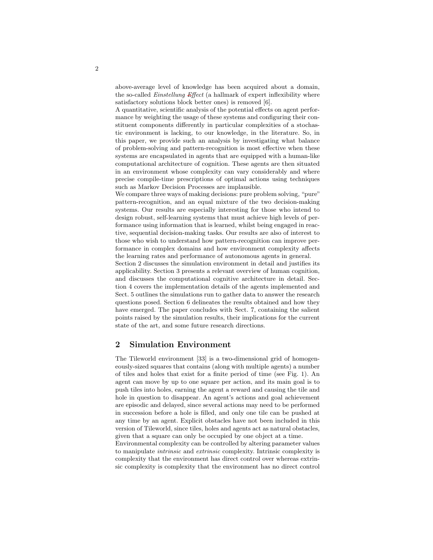above-average level of knowledge has been acquired about a domain, the so-called *Einstellung Effect* (a hallmark of expert inflexibility where satisfactory solutions block better ones) is removed [6].

A quantitative, scientific analysis of the potential effects on agent performance by weighting the usage of these systems and configuring their constituent components differently in particular complexities of a stochastic environment is lacking, to our knowledge, in the literature. So, in this paper, we provide such an analysis by investigating what balance of problem-solving and pattern-recognition is most effective when these systems are encapsulated in agents that are equipped with a human-like computational architecture of cognition. These agents are then situated in an environment whose complexity can vary considerably and where precise compile-time prescriptions of optimal actions using techniques such as Markov Decision Processes are implausible.

We compare three ways of making decisions: pure problem solving, "pure" pattern-recognition, and an equal mixture of the two decision-making systems. Our results are especially interesting for those who intend to design robust, self-learning systems that must achieve high levels of performance using information that is learned, whilst being engaged in reactive, sequential decision-making tasks. Our results are also of interest to those who wish to understand how pattern-recognition can improve performance in complex domains and how environment complexity affects the learning rates and performance of autonomous agents in general.

Section 2 discusses the simulation environment in detail and justifies its applicability. Section 3 presents a relevant overview of human cognition, and discusses the computational cognitive architecture in detail. Section 4 covers the implementation details of the agents implemented and Sect. 5 outlines the simulations run to gather data to answer the research questions posed. Section 6 delineates the results obtained and how they have emerged. The paper concludes with Sect. 7, containing the salient points raised by the simulation results, their implications for the current state of the art, and some future research directions.

#### 2 Simulation Environment

The Tileworld environment [33] is a two-dimensional grid of homogeneously-sized squares that contains (along with multiple agents) a number of tiles and holes that exist for a finite period of time (see Fig. 1). An agent can move by up to one square per action, and its main goal is to push tiles into holes, earning the agent a reward and causing the tile and hole in question to disappear. An agent's actions and goal achievement are episodic and delayed, since several actions may need to be performed in succession before a hole is filled, and only one tile can be pushed at any time by an agent. Explicit obstacles have not been included in this version of Tileworld, since tiles, holes and agents act as natural obstacles, given that a square can only be occupied by one object at a time. Environmental complexity can be controlled by altering parameter values to manipulate intrinsic and extrinsic complexity. Intrinsic complexity is complexity that the environment has direct control over whereas extrinsic complexity is complexity that the environment has no direct control

2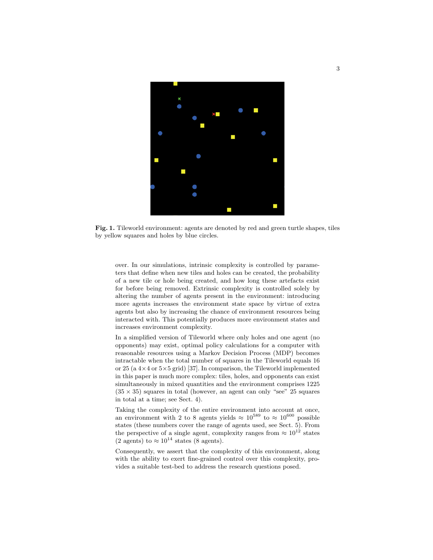

Fig. 1. Tileworld environment: agents are denoted by red and green turtle shapes, tiles by yellow squares and holes by blue circles.

over. In our simulations, intrinsic complexity is controlled by parameters that define when new tiles and holes can be created, the probability of a new tile or hole being created, and how long these artefacts exist for before being removed. Extrinsic complexity is controlled solely by altering the number of agents present in the environment: introducing more agents increases the environment state space by virtue of extra agents but also by increasing the chance of environment resources being interacted with. This potentially produces more environment states and increases environment complexity.

In a simplified version of Tileworld where only holes and one agent (no opponents) may exist, optimal policy calculations for a computer with reasonable resources using a Markov Decision Process (MDP) becomes intractable when the total number of squares in the Tileworld equals 16 or 25 (a  $4\times4$  or  $5\times5$  grid) [37]. In comparison, the Tileworld implemented in this paper is much more complex: tiles, holes, and opponents can exist simultaneously in mixed quantities and the environment comprises 1225  $(35 \times 35)$  squares in total (however, an agent can only "see" 25 squares in total at a time; see Sect. 4).

Taking the complexity of the entire environment into account at once, an environment with 2 to 8 agents yields  $\approx 10^{589}$  to  $\approx 10^{600}$  possible states (these numbers cover the range of agents used, see Sect. 5). From the perspective of a single agent, complexity ranges from  $\approx 10^{12}$  states (2 agents) to  $\approx 10^{14}$  states (8 agents).

Consequently, we assert that the complexity of this environment, along with the ability to exert fine-grained control over this complexity, provides a suitable test-bed to address the research questions posed.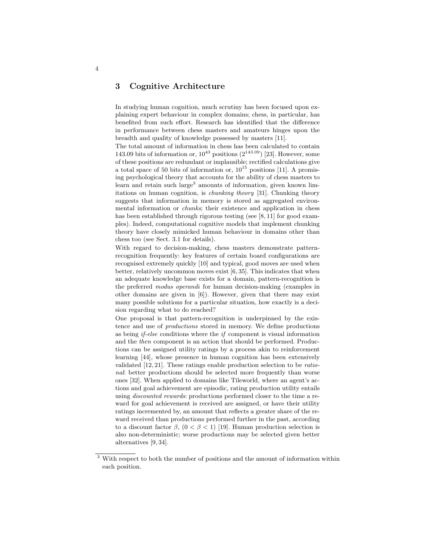#### 3 Cognitive Architecture

In studying human cognition, much scrutiny has been focused upon explaining expert behaviour in complex domains; chess, in particular, has benefited from such effort. Research has identified that the difference in performance between chess masters and amateurs hinges upon the breadth and quality of knowledge possessed by masters [11].

The total amount of information in chess has been calculated to contain 143.09 bits of information or,  $10^{43}$  positions  $(2^{143.09})$  [23]. However, some of these positions are redundant or implausible; rectified calculations give a total space of 50 bits of information or,  $10^{15}$  positions [11]. A promising psychological theory that accounts for the ability of chess masters to learn and retain such large<sup>3</sup> amounts of information, given known limitations on human cognition, is chunking theory [31]. Chunking theory suggests that information in memory is stored as aggregated environmental information or chunks; their existence and application in chess has been established through rigorous testing (see [8, 11] for good examples). Indeed, computational cognitive models that implement chunking theory have closely mimicked human behaviour in domains other than chess too (see Sect. 3.1 for details).

With regard to decision-making, chess masters demonstrate patternrecognition frequently: key features of certain board configurations are recognised extremely quickly [10] and typical, good moves are used when better, relatively uncommon moves exist [6, 35]. This indicates that when an adequate knowledge base exists for a domain, pattern-recognition is the preferred modus operandi for human decision-making (examples in other domains are given in [6]). However, given that there may exist many possible solutions for a particular situation, how exactly is a decision regarding what to do reached?

One proposal is that pattern-recognition is underpinned by the existence and use of productions stored in memory. We define productions as being if-else conditions where the if component is visual information and the then component is an action that should be performed. Productions can be assigned utility ratings by a process akin to reinforcement learning [44], whose presence in human cognition has been extensively validated [12, 21]. These ratings enable production selection to be rational: better productions should be selected more frequently than worse ones [32]. When applied to domains like Tileworld, where an agent's actions and goal achievement are episodic, rating production utility entails using discounted rewards: productions performed closer to the time a reward for goal achievement is received are assigned, or have their utility ratings incremented by, an amount that reflects a greater share of the reward received than productions performed further in the past, according to a discount factor  $\beta$ ,  $(0 < \beta < 1)$  [19]. Human production selection is also non-deterministic; worse productions may be selected given better alternatives [9, 34].

 $^3$  With respect to both the number of positions and the amount of information within each position.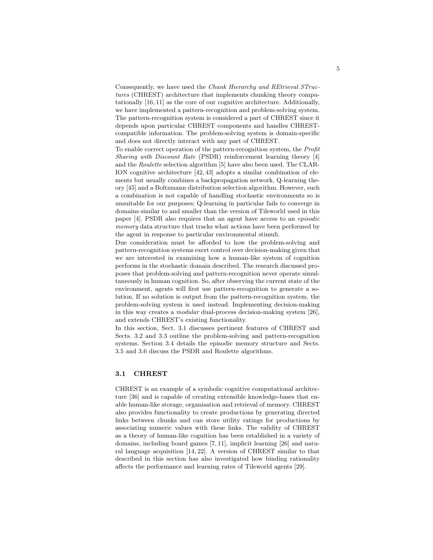Consequently, we have used the Chunk Hierarchy and REtrieval STructures (CHREST) architecture that implements chunking theory computationally [16, 11] as the core of our cognitive architecture. Additionally, we have implemented a pattern-recognition and problem-solving system. The pattern-recognition system is considered a part of CHREST since it depends upon particular CHREST components and handles CHRESTcompatible information. The problem-solving system is domain-specific and does not directly interact with any part of CHREST.

To enable correct operation of the pattern-recognition system, the Profit Sharing with Discount Rate (PSDR) reinforcement learning theory [4] and the Roulette selection algorithm [5] have also been used. The CLAR-ION cognitive architecture [42, 43] adopts a similar combination of elements but usually combines a backpropagation network, Q-learning theory [45] and a Boltzmann distribution selection algorithm. However, such a combination is not capable of handling stochastic environments so is unsuitable for our purposes; Q-learning in particular fails to converge in domains similar to and smaller than the version of Tileworld used in this paper [4]. PSDR also requires that an agent have access to an episodic memory data structure that tracks what actions have been performed by the agent in response to particular environmental stimuli.

Due consideration must be afforded to how the problem-solving and pattern-recognition systems exert control over decision-making given that we are interested in examining how a human-like system of cognition performs in the stochastic domain described. The research discussed proposes that problem-solving and pattern-recognition never operate simultaneously in human cognition. So, after observing the current state of the environment, agents will first use pattern-recognition to generate a solution. If no solution is output from the pattern-recognition system, the problem-solving system is used instead. Implementing decision-making in this way creates a modular dual-process decision-making system [26], and extends CHREST's existing functionality.

In this section, Sect. 3.1 discusses pertinent features of CHREST and Sects. 3.2 and 3.3 outline the problem-solving and pattern-recognition systems. Section 3.4 details the episodic memory structure and Sects. 3.5 and 3.6 discuss the PSDR and Roulette algorithms.

#### 3.1 CHREST

CHREST is an example of a symbolic cognitive computational architecture [36] and is capable of creating extensible knowledge-bases that enable human-like storage, organisation and retrieval of memory. CHREST also provides functionality to create productions by generating directed links between chunks and can store utility ratings for productions by associating numeric values with these links. The validity of CHREST as a theory of human-like cognition has been established in a variety of domains, including board games [7, 11], implicit learning [26] and natural language acquisition [14, 22]. A version of CHREST similar to that described in this section has also investigated how binding rationality affects the performance and learning rates of Tileworld agents [29].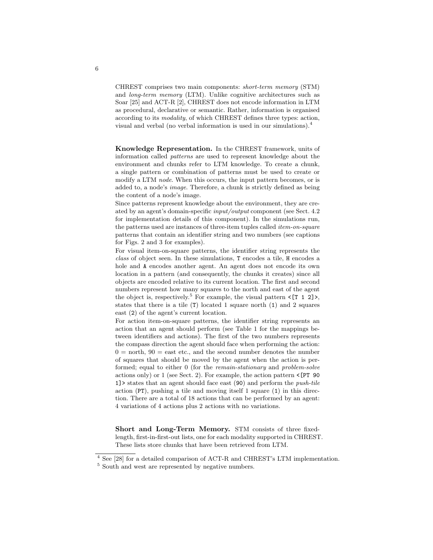CHREST comprises two main components: short-term memory (STM) and long-term memory (LTM). Unlike cognitive architectures such as Soar [25] and ACT-R [2], CHREST does not encode information in LTM as procedural, declarative or semantic. Rather, information is organised according to its modality, of which CHREST defines three types: action, visual and verbal (no verbal information is used in our simulations).<sup>4</sup>

Knowledge Representation. In the CHREST framework, units of information called patterns are used to represent knowledge about the environment and chunks refer to LTM knowledge. To create a chunk, a single pattern or combination of patterns must be used to create or modify a LTM *node*. When this occurs, the input pattern becomes, or is added to, a node's image. Therefore, a chunk is strictly defined as being the content of a node's image.

Since patterns represent knowledge about the environment, they are created by an agent's domain-specific input/output component (see Sect. 4.2 for implementation details of this component). In the simulations run, the patterns used are instances of three-item tuples called item-on-square patterns that contain an identifier string and two numbers (see captions for Figs. 2 and 3 for examples).

For visual item-on-square patterns, the identifier string represents the class of object seen. In these simulations, T encodes a tile, H encodes a hole and A encodes another agent. An agent does not encode its own location in a pattern (and consequently, the chunks it creates) since all objects are encoded relative to its current location. The first and second numbers represent how many squares to the north and east of the agent the object is, respectively.<sup>5</sup> For example, the visual pattern  $\leq [T \ 1 \ 2]$ . states that there is a tile (T) located 1 square north (1) and 2 squares east (2) of the agent's current location.

For action item-on-square patterns, the identifier string represents an action that an agent should perform (see Table 1 for the mappings between identifiers and actions). The first of the two numbers represents the compass direction the agent should face when performing the action:  $0 =$  north,  $90 =$  east etc., and the second number denotes the number of squares that should be moved by the agent when the action is performed; equal to either 0 (for the remain-stationary and problem-solve actions only) or 1 (see Sect. 2). For example, the action pattern  $\leq$  [PT 90 1]> states that an agent should face east (90) and perform the push-tile action (PT), pushing a tile and moving itself 1 square (1) in this direction. There are a total of 18 actions that can be performed by an agent: 4 variations of 4 actions plus 2 actions with no variations.

Short and Long-Term Memory. STM consists of three fixedlength, first-in-first-out lists, one for each modality supported in CHREST. These lists store chunks that have been retrieved from LTM.

<sup>4</sup> See [28] for a detailed comparison of ACT-R and CHREST's LTM implementation. <sup>5</sup> South and west are represented by negative numbers.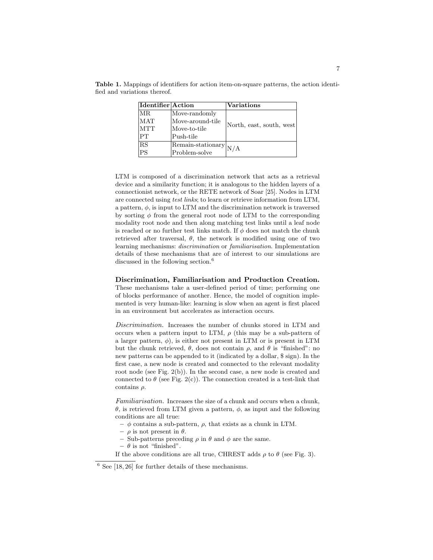Table 1. Mappings of identifiers for action item-on-square patterns, the action identified and variations thereof.

| Identifier Action |                                                      | <b>Variations</b>        |  |
|-------------------|------------------------------------------------------|--------------------------|--|
| MR.               | Move-randomly                                        |                          |  |
| <b>MAT</b>        | Move-around-tile                                     | North, east, south, west |  |
| <b>MTT</b>        | Move-to-tile                                         |                          |  |
| PT                | Push-tile                                            |                          |  |
| <b>RS</b>         | $ \overline{\text{Remain-stationary}} _{\text{N/A}}$ |                          |  |
| PS                | Problem-solve                                        |                          |  |

LTM is composed of a discrimination network that acts as a retrieval device and a similarity function; it is analogous to the hidden layers of a connectionist network, or the RETE network of Soar [25]. Nodes in LTM are connected using test links; to learn or retrieve information from LTM, a pattern,  $\phi$ , is input to LTM and the discrimination network is traversed by sorting  $\phi$  from the general root node of LTM to the corresponding modality root node and then along matching test links until a leaf node is reached or no further test links match. If  $\phi$  does not match the chunk retrieved after traversal,  $\theta$ , the network is modified using one of two learning mechanisms: discrimination or familiarisation. Implementation details of these mechanisms that are of interest to our simulations are discussed in the following section.<sup>6</sup>

#### Discrimination, Familiarisation and Production Creation.

These mechanisms take a user-defined period of time; performing one of blocks performance of another. Hence, the model of cognition implemented is very human-like: learning is slow when an agent is first placed in an environment but accelerates as interaction occurs.

Discrimination. Increases the number of chunks stored in LTM and occurs when a pattern input to LTM,  $\rho$  (this may be a sub-pattern of a larger pattern,  $\phi$ ), is either not present in LTM or is present in LTM but the chunk retrieved,  $\theta$ , does not contain  $\rho$ , and  $\theta$  is "finished": no new patterns can be appended to it (indicated by a dollar, \$ sign). In the first case, a new node is created and connected to the relevant modality root node (see Fig. 2(b)). In the second case, a new node is created and connected to  $\theta$  (see Fig. 2(c)). The connection created is a test-link that contains  $\rho$ .

Familiarisation. Increases the size of a chunk and occurs when a chunk, θ, is retrieved from LTM given a pattern, φ, as input and the following conditions are all true:

- $-\phi$  contains a sub-pattern,  $\rho$ , that exists as a chunk in LTM.
- ρ is not present in θ.
- Sub-patterns preceding  $\rho$  in  $\theta$  and  $\phi$  are the same.
- $\theta$  is not "finished".

If the above conditions are all true, CHREST adds  $\rho$  to  $\theta$  (see Fig. 3).

 $6$  See [18, 26] for further details of these mechanisms.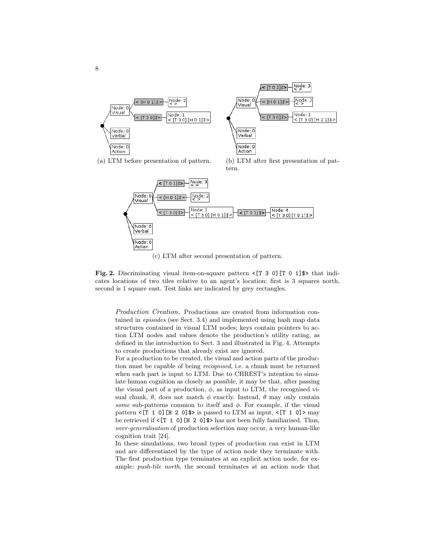



(c) LTM after second presentation of pattern.

Fig. 2. Discriminating visual item-on-square pattern  $\leq$ [T 3 0][T 0 1]\$> that indicates locations of two tiles relative to an agent's location: first is 3 squares north, second is 1 square east. Test links are indicated by grey rectangles.

Production Creation. Productions are created from information contained in episodes (see Sect. 3.4) and implemented using hash map data structures contained in visual LTM nodes; keys contain pointers to action LTM nodes and values denote the production's utility rating, as defined in the introduction to Sect. 3 and illustrated in Fig. 4. Attempts to create productions that already exist are ignored.

For a production to be created, the visual and action parts of the production must be capable of being recognised, i.e. a chunk must be returned when each part is input to LTM. Due to CHREST's intention to simulate human cognition as closely as possible, it may be that, after passing the visual part of a production,  $\phi$ , as input to LTM, the recognised visual chunk,  $\theta$ , does not match  $\phi$  exactly. Instead,  $\theta$  may only contain some sub-patterns common to itself and  $\phi$ . For example, if the visual pattern  $\langle$ [T 1 0][H 2 0]\$> is passed to LTM as input,  $\langle$ [T 1 0]> may be retrieved if  $\leq$ [T 1 0][H 2 0]\$> has not been fully familiarised. Thus, over-generalisation of production selection may occur, a very human-like cognition trait [24].

In these simulations, two broad types of production can exist in LTM and are differentiated by the type of action node they terminate with. The first production type terminates at an explicit action node, for example: push-tile north, the second terminates at an action node that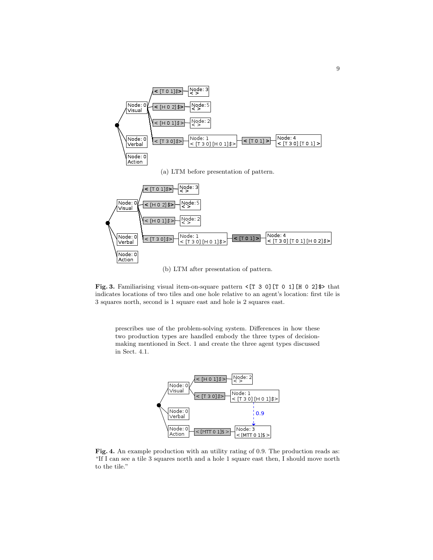

Fig. 3. Familiarising visual item-on-square pattern <[T 3 0][T 0 1][H 0 2]\$> that indicates locations of two tiles and one hole relative to an agent's location: first tile is 3 squares north, second is 1 square east and hole is 2 squares east.

prescribes use of the problem-solving system. Differences in how these two production types are handled embody the three types of decisionmaking mentioned in Sect. 1 and create the three agent types discussed in Sect. 4.1.



Fig. 4. An example production with an utility rating of 0.9. The production reads as: "If I can see a tile 3 squares north and a hole 1 square east then, I should move north to the tile."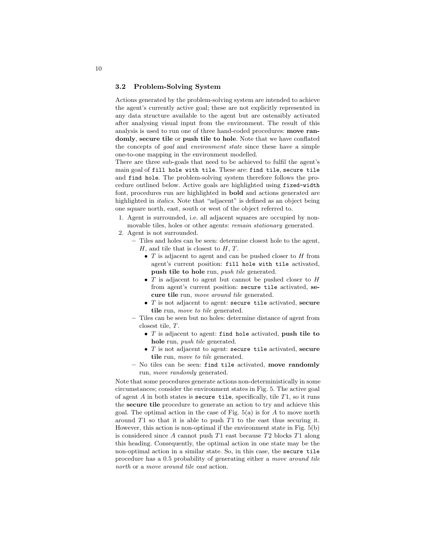#### 3.2 Problem-Solving System

Actions generated by the problem-solving system are intended to achieve the agent's currently active goal; these are not explicitly represented in any data structure available to the agent but are ostensibly activated after analysing visual input from the environment. The result of this analysis is used to run one of three hand-coded procedures: move randomly, secure tile or push tile to hole. Note that we have conflated the concepts of goal and environment state since these have a simple one-to-one mapping in the environment modelled.

There are three sub-goals that need to be achieved to fulfil the agent's main goal of fill hole with tile. These are: find tile, secure tile and find hole. The problem-solving system therefore follows the procedure outlined below. Active goals are highlighted using fixed-width font, procedures run are highlighted in bold and actions generated are highlighted in *italics*. Note that "adjacent" is defined as an object being one square north, east, south or west of the object referred to.

- 1. Agent is surrounded, i.e. all adjacent squares are occupied by nonmovable tiles, holes or other agents: remain stationary generated.
- 2. Agent is not surrounded.
	- Tiles and holes can be seen: determine closest hole to the agent,  $H$ , and tile that is closest to  $H$ ,  $T$ .
		- $\bullet$  T is adjacent to agent and can be pushed closer to  $H$  from agent's current position: fill hole with tile activated, push tile to hole run, *push tile* generated.
		- $T$  is adjacent to agent but cannot be pushed closer to  $H$ from agent's current position: secure tile activated, secure tile run, move around tile generated.
		- $\bullet$  T is not adjacent to agent: secure tile activated, secure tile run, move to tile generated.
	- Tiles can be seen but no holes: determine distance of agent from closest tile, T.
		- $\bullet$  T is adjacent to agent: find hole activated, push tile to hole run, push tile generated.
		- $\bullet$  T is not adjacent to agent: secure tile activated, secure tile run, move to tile generated.
	- No tiles can be seen: find tile activated, move randomly run, move randomly generated.

Note that some procedures generate actions non-deterministically in some circumstances; consider the environment states in Fig. 5. The active goal of agent  $A$  in both states is secure tile, specifically, tile  $T1$ , so it runs the secure tile procedure to generate an action to try and achieve this goal. The optimal action in the case of Fig.  $5(a)$  is for A to move north around T1 so that it is able to push T1 to the east thus securing it. However, this action is non-optimal if the environment state in Fig. 5(b) is considered since A cannot push T1 east because T2 blocks T1 along this heading. Consequently, the optimal action in one state may be the non-optimal action in a similar state. So, in this case, the secure tile procedure has a 0.5 probability of generating either a move around tile north or a move around tile east action.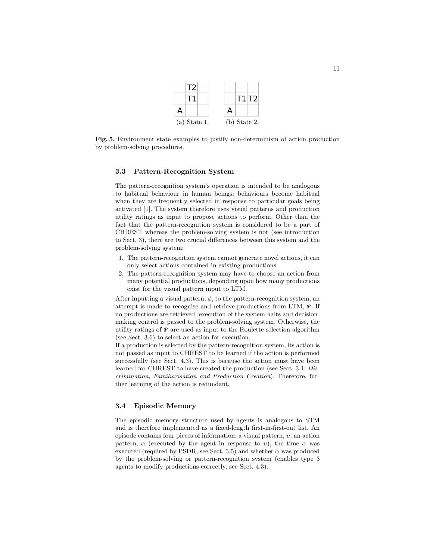

Fig. 5. Environment state examples to justify non-determinism of action production by problem-solving procedures.

#### 3.3 Pattern-Recognition System

The pattern-recognition system's operation is intended to be analogous to habitual behaviour in human beings: behaviours become habitual when they are frequently selected in response to particular goals being activated [1]. The system therefore uses visual patterns and production utility ratings as input to propose actions to perform. Other than the fact that the pattern-recognition system is considered to be a part of CHREST whereas the problem-solving system is not (see introduction to Sect. 3), there are two crucial differences between this system and the problem-solving system:

- 1. The pattern-recognition system cannot generate novel actions, it can only select actions contained in existing productions.
- 2. The pattern-recognition system may have to choose an action from many potential productions, depending upon how many productions exist for the visual pattern input to LTM.

After inputting a visual pattern,  $\phi$ , to the pattern-recognition system, an attempt is made to recognise and retrieve productions from LTM,  $\Psi$ . If no productions are retrieved, execution of the system halts and decisionmaking control is passed to the problem-solving system. Otherwise, the utility ratings of  $\Psi$  are used as input to the Roulette selection algorithm (see Sect. 3.6) to select an action for execution.

If a production is selected by the pattern-recognition system, its action is not passed as input to CHREST to be learned if the action is performed successfully (see Sect. 4.3). This is because the action must have been learned for CHREST to have created the production (see Sect. 3.1: Discrimination, Familiarisation and Production Creation). Therefore, further learning of the action is redundant.

#### 3.4 Episodic Memory

The episodic memory structure used by agents is analogous to STM and is therefore implemented as a fixed-length first-in-first-out list. An episode contains four pieces of information: a visual pattern,  $v$ , an action pattern,  $\alpha$  (executed by the agent in response to v), the time  $\alpha$  was executed (required by PSDR, see Sect. 3.5) and whether  $\alpha$  was produced by the problem-solving or pattern-recognition system (enables type 3 agents to modify productions correctly, see Sect. 4.3).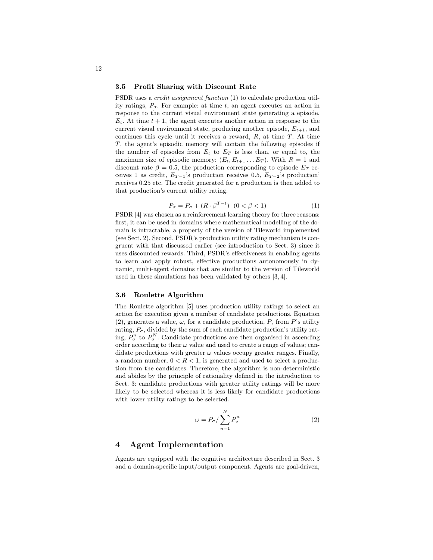#### 3.5 Profit Sharing with Discount Rate

PSDR uses a credit assignment function (1) to calculate production utility ratings,  $P_{\sigma}$ . For example: at time t, an agent executes an action in response to the current visual environment state generating a episode,  $E_t$ . At time  $t + 1$ , the agent executes another action in response to the current visual environment state, producing another episode,  $E_{t+1}$ , and continues this cycle until it receives a reward,  $R$ , at time  $T$ . At time T, the agent's episodic memory will contain the following episodes if the number of episodes from  $E_t$  to  $E_T$  is less than, or equal to, the maximum size of episodic memory:  $(E_t, E_{t+1} \dots E_T)$ . With  $R = 1$  and discount rate  $\beta = 0.5$ , the production corresponding to episode  $E_T$  receives 1 as credit,  $E_{T-1}$ 's production receives 0.5,  $E_{T-2}$ 's production' receives 0.25 etc. The credit generated for a production is then added to that production's current utility rating.

$$
P_{\sigma} = P_{\sigma} + (R \cdot \beta^{T-t}) \quad (0 < \beta < 1) \tag{1}
$$

PSDR [4] was chosen as a reinforcement learning theory for three reasons: first, it can be used in domains where mathematical modelling of the domain is intractable, a property of the version of Tileworld implemented (see Sect. 2). Second, PSDR's production utility rating mechanism is congruent with that discussed earlier (see introduction to Sect. 3) since it uses discounted rewards. Third, PSDR's effectiveness in enabling agents to learn and apply robust, effective productions autonomously in dynamic, multi-agent domains that are similar to the version of Tileworld used in these simulations has been validated by others [3, 4].

#### 3.6 Roulette Algorithm

The Roulette algorithm [5] uses production utility ratings to select an action for execution given a number of candidate productions. Equation (2), generates a value,  $\omega$ , for a candidate production, P, from P's utility rating,  $P_{\sigma}$ , divided by the sum of each candidate production's utility rating,  $P_{\sigma}^{n}$  to  $P_{\sigma}^{N}$ . Candidate productions are then organised in ascending order according to their  $\omega$  value and used to create a range of values; candidate productions with greater  $\omega$  values occupy greater ranges. Finally, a random number,  $0 < R < 1$ , is generated and used to select a production from the candidates. Therefore, the algorithm is non-deterministic and abides by the principle of rationality defined in the introduction to Sect. 3: candidate productions with greater utility ratings will be more likely to be selected whereas it is less likely for candidate productions with lower utility ratings to be selected.

$$
\omega = P_{\sigma} / \sum_{n=1}^{N} P_{\sigma}^{n}
$$
 (2)

#### 4 Agent Implementation

Agents are equipped with the cognitive architecture described in Sect. 3 and a domain-specific input/output component. Agents are goal-driven,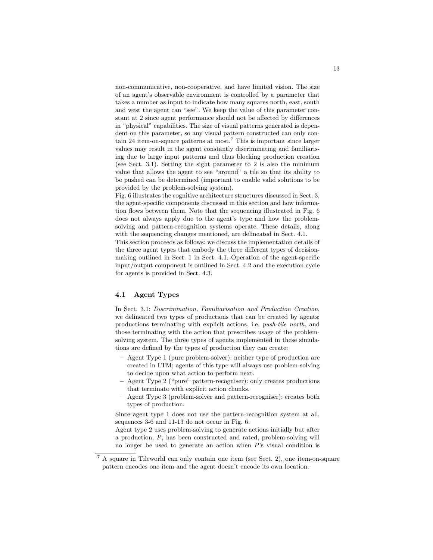non-communicative, non-cooperative, and have limited vision. The size of an agent's observable environment is controlled by a parameter that takes a number as input to indicate how many squares north, east, south and west the agent can "see". We keep the value of this parameter constant at 2 since agent performance should not be affected by differences in "physical" capabilities. The size of visual patterns generated is dependent on this parameter, so any visual pattern constructed can only contain 24 item-on-square patterns at most.<sup>7</sup> This is important since larger values may result in the agent constantly discriminating and familiarising due to large input patterns and thus blocking production creation (see Sect. 3.1). Setting the sight parameter to 2 is also the minimum value that allows the agent to see "around" a tile so that its ability to be pushed can be determined (important to enable valid solutions to be provided by the problem-solving system).

Fig. 6 illustrates the cognitive architecture structures discussed in Sect. 3, the agent-specific components discussed in this section and how information flows between them. Note that the sequencing illustrated in Fig. 6 does not always apply due to the agent's type and how the problemsolving and pattern-recognition systems operate. These details, along with the sequencing changes mentioned, are delineated in Sect. 4.1.

This section proceeds as follows: we discuss the implementation details of the three agent types that embody the three different types of decisionmaking outlined in Sect. 1 in Sect. 4.1. Operation of the agent-specific input/output component is outlined in Sect. 4.2 and the execution cycle for agents is provided in Sect. 4.3.

#### 4.1 Agent Types

In Sect. 3.1: Discrimination, Familiarisation and Production Creation, we delineated two types of productions that can be created by agents: productions terminating with explicit actions, i.e. push-tile north, and those terminating with the action that prescribes usage of the problemsolving system. The three types of agents implemented in these simulations are defined by the types of production they can create:

- Agent Type 1 (pure problem-solver): neither type of production are created in LTM; agents of this type will always use problem-solving to decide upon what action to perform next.
- Agent Type 2 ("pure" pattern-recogniser): only creates productions that terminate with explicit action chunks.
- Agent Type 3 (problem-solver and pattern-recogniser): creates both types of production.

Since agent type 1 does not use the pattern-recognition system at all, sequences 3-6 and 11-13 do not occur in Fig. 6.

Agent type 2 uses problem-solving to generate actions initially but after a production, P, has been constructed and rated, problem-solving will no longer be used to generate an action when P's visual condition is

<sup>7</sup> A square in Tileworld can only contain one item (see Sect. 2), one item-on-square pattern encodes one item and the agent doesn't encode its own location.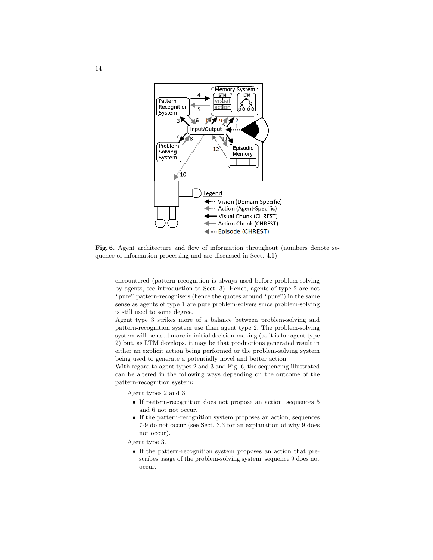

Fig. 6. Agent architecture and flow of information throughout (numbers denote sequence of information processing and are discussed in Sect. 4.1).

encountered (pattern-recognition is always used before problem-solving by agents, see introduction to Sect. 3). Hence, agents of type 2 are not "pure" pattern-recognisers (hence the quotes around "pure") in the same sense as agents of type 1 are pure problem-solvers since problem-solving is still used to some degree.

Agent type 3 strikes more of a balance between problem-solving and pattern-recognition system use than agent type 2. The problem-solving system will be used more in initial decision-making (as it is for agent type 2) but, as LTM develops, it may be that productions generated result in either an explicit action being performed or the problem-solving system being used to generate a potentially novel and better action.

With regard to agent types 2 and 3 and Fig. 6, the sequencing illustrated can be altered in the following ways depending on the outcome of the pattern-recognition system:

- Agent types 2 and 3.
	- If pattern-recognition does not propose an action, sequences 5 and 6 not not occur.
	- If the pattern-recognition system proposes an action, sequences 7-9 do not occur (see Sect. 3.3 for an explanation of why 9 does not occur).

– Agent type 3.

• If the pattern-recognition system proposes an action that prescribes usage of the problem-solving system, sequence 9 does not occur.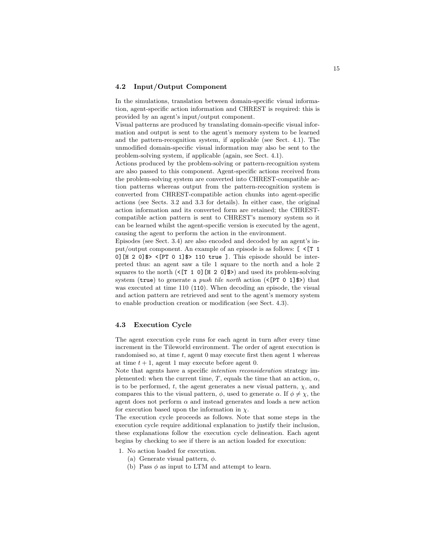#### 4.2 Input/Output Component

In the simulations, translation between domain-specific visual information, agent-specific action information and CHREST is required: this is provided by an agent's input/output component.

Visual patterns are produced by translating domain-specific visual information and output is sent to the agent's memory system to be learned and the pattern-recognition system, if applicable (see Sect. 4.1). The unmodified domain-specific visual information may also be sent to the problem-solving system, if applicable (again, see Sect. 4.1).

Actions produced by the problem-solving or pattern-recognition system are also passed to this component. Agent-specific actions received from the problem-solving system are converted into CHREST-compatible action patterns whereas output from the pattern-recognition system is converted from CHREST-compatible action chunks into agent-specific actions (see Sects. 3.2 and 3.3 for details). In either case, the original action information and its converted form are retained; the CHRESTcompatible action pattern is sent to CHREST's memory system so it can be learned whilst the agent-specific version is executed by the agent, causing the agent to perform the action in the environment.

Episodes (see Sect. 3.4) are also encoded and decoded by an agent's input/output component. An example of an episode is as follows:  $[\leq]$  [T 1 0][H 2 0]\$> <[PT 0 1]\$> 110 true ]. This episode should be interpreted thus: an agent saw a tile 1 square to the north and a hole 2 squares to the north  $(\langle T 1 0] [H 2 0]$ \$>) and used its problem-solving system (true) to generate a *push tile north* action ( $\epsilon$ [PT 0 1]\$>) that was executed at time 110 (110). When decoding an episode, the visual and action pattern are retrieved and sent to the agent's memory system to enable production creation or modification (see Sect. 4.3).

#### 4.3 Execution Cycle

The agent execution cycle runs for each agent in turn after every time increment in the Tileworld environment. The order of agent execution is randomised so, at time  $t$ , agent 0 may execute first then agent 1 whereas at time  $t + 1$ , agent 1 may execute before agent 0.

Note that agents have a specific intention reconsideration strategy implemented: when the current time, T, equals the time that an action,  $\alpha$ , is to be performed, t, the agent generates a new visual pattern,  $\gamma$ , and compares this to the visual pattern,  $\phi$ , used to generate  $\alpha$ . If  $\phi \neq \chi$ , the agent does not perform  $\alpha$  and instead generates and loads a new action for execution based upon the information in  $\chi$ .

The execution cycle proceeds as follows. Note that some steps in the execution cycle require additional explanation to justify their inclusion, these explanations follow the execution cycle delineation. Each agent begins by checking to see if there is an action loaded for execution:

- 1. No action loaded for execution.
	- (a) Generate visual pattern,  $\phi$ .
	- (b) Pass  $\phi$  as input to LTM and attempt to learn.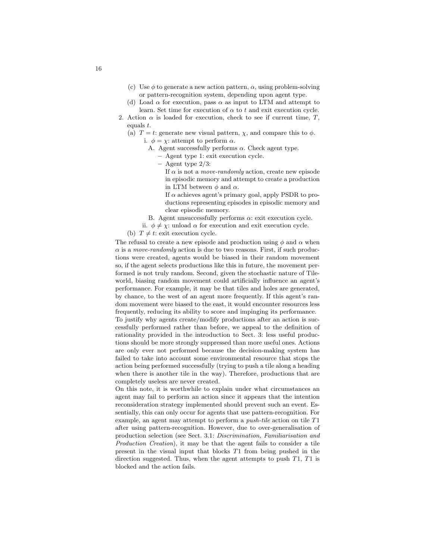- (c) Use  $\phi$  to generate a new action pattern,  $\alpha$ , using problem-solving or pattern-recognition system, depending upon agent type.
- (d) Load  $\alpha$  for execution, pass  $\alpha$  as input to LTM and attempt to learn. Set time for execution of  $\alpha$  to t and exit execution cycle.
- 2. Action  $\alpha$  is loaded for execution, check to see if current time, T, equals t.
	- (a)  $T = t$ : generate new visual pattern,  $\chi$ , and compare this to  $\phi$ . i.  $\phi = \chi$ : attempt to perform  $\alpha$ .
		- A. Agent successfully performs  $\alpha$ . Check agent type.
			- Agent type 1: exit execution cycle.
			- Agent type 2/3:
				- If  $\alpha$  is not a *move-randomly* action, create new episode in episodic memory and attempt to create a production in LTM between  $\phi$  and  $\alpha$ .
				- If  $\alpha$  achieves agent's primary goal, apply PSDR to productions representing episodes in episodic memory and clear episodic memory.
		- B. Agent unsuccessfully performs  $\alpha$ : exit execution cycle.
		- ii.  $\phi \neq \chi$ : unload  $\alpha$  for execution and exit execution cycle.
	- (b)  $T \neq t$ : exit execution cycle.

The refusal to create a new episode and production using  $\phi$  and  $\alpha$  when  $\alpha$  is a *move-randomly* action is due to two reasons. First, if such productions were created, agents would be biased in their random movement so, if the agent selects productions like this in future, the movement performed is not truly random. Second, given the stochastic nature of Tileworld, biasing random movement could artificially influence an agent's performance. For example, it may be that tiles and holes are generated, by chance, to the west of an agent more frequently. If this agent's random movement were biased to the east, it would encounter resources less frequently, reducing its ability to score and impinging its performance.

To justify why agents create/modify productions after an action is successfully performed rather than before, we appeal to the definition of rationality provided in the introduction to Sect. 3: less useful productions should be more strongly suppressed than more useful ones. Actions are only ever not performed because the decision-making system has failed to take into account some environmental resource that stops the action being performed successfully (trying to push a tile along a heading when there is another tile in the way). Therefore, productions that are completely useless are never created.

On this note, it is worthwhile to explain under what circumstances an agent may fail to perform an action since it appears that the intention reconsideration strategy implemented should prevent such an event. Essentially, this can only occur for agents that use pattern-recognition. For example, an agent may attempt to perform a push-tile action on tile T1 after using pattern-recognition. However, due to over-generalisation of production selection (see Sect. 3.1: Discrimination, Familiarisation and Production Creation), it may be that the agent fails to consider a tile present in the visual input that blocks T1 from being pushed in the direction suggested. Thus, when the agent attempts to push  $T1$ ,  $T1$  is blocked and the action fails.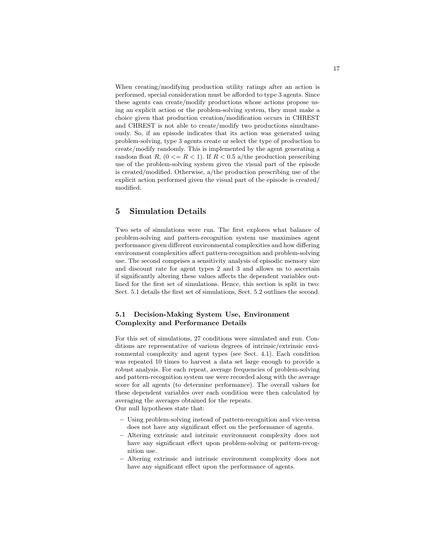When creating/modifying production utility ratings after an action is performed, special consideration must be afforded to type 3 agents. Since these agents can create/modify productions whose actions propose using an explicit action or the problem-solving system, they must make a choice given that production creation/modification occurs in CHREST and CHREST is not able to create/modify two productions simultaneously. So, if an episode indicates that its action was generated using problem-solving, type 3 agents create or select the type of production to create/modify randomly. This is implemented by the agent generating a random float R,  $(0 \le R \le 1)$ . If  $R \le 0.5$  a/the production prescribing use of the problem-solving system given the visual part of the episode is created/modified. Otherwise, a/the production prescribing use of the explicit action performed given the visual part of the episode is created/ modified.

#### 5 Simulation Details

Two sets of simulations were run. The first explores what balance of problem-solving and pattern-recognition system use maximises agent performance given different environmental complexities and how differing environment complexities affect pattern-recognition and problem-solving use. The second comprises a sensitivity analysis of episodic memory size and discount rate for agent types 2 and 3 and allows us to ascertain if significantly altering these values affects the dependent variables outlined for the first set of simulations. Hence, this section is split in two: Sect. 5.1 details the first set of simulations, Sect. 5.2 outlines the second.

#### 5.1 Decision-Making System Use, Environment Complexity and Performance Details

For this set of simulations, 27 conditions were simulated and run. Conditions are representative of various degrees of intrinsic/extrinsic environmental complexity and agent types (see Sect. 4.1). Each condition was repeated 10 times to harvest a data set large enough to provide a robust analysis. For each repeat, average frequencies of problem-solving and pattern-recognition system use were recorded along with the average score for all agents (to determine performance). The overall values for these dependent variables over each condition were then calculated by averaging the averages obtained for the repeats. Our null hypotheses state that:

- Using problem-solving instead of pattern-recognition and vice-versa does not have any significant effect on the performance of agents.
- Altering extrinsic and intrinsic environment complexity does not have any significant effect upon problem-solving or pattern-recognition use.
- Altering extrinsic and intrinsic environment complexity does not have any significant effect upon the performance of agents.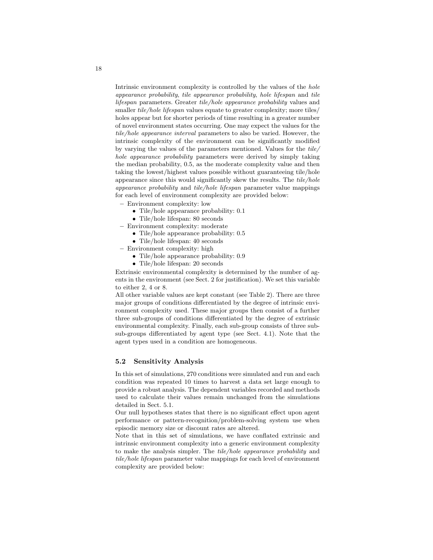Intrinsic environment complexity is controlled by the values of the hole appearance probability, tile appearance probability, hole lifespan and tile lifespan parameters. Greater tile/hole appearance probability values and smaller *tile/hole lifespan* values equate to greater complexity; more tiles/ holes appear but for shorter periods of time resulting in a greater number of novel environment states occurring. One may expect the values for the tile/hole appearance interval parameters to also be varied. However, the intrinsic complexity of the environment can be significantly modified by varying the values of the parameters mentioned. Values for the tile/ hole appearance probability parameters were derived by simply taking the median probability, 0.5, as the moderate complexity value and then taking the lowest/highest values possible without guaranteeing tile/hole appearance since this would significantly skew the results. The tile/hole appearance probability and tile/hole lifespan parameter value mappings for each level of environment complexity are provided below:

- Environment complexity: low
	- Tile/hole appearance probability: 0.1
	- Tile/hole lifespan: 80 seconds
- Environment complexity: moderate
	- Tile/hole appearance probability: 0.5
	- Tile/hole lifespan: 40 seconds
- Environment complexity: high
	- Tile/hole appearance probability: 0.9
	- Tile/hole lifespan: 20 seconds

Extrinsic environmental complexity is determined by the number of agents in the environment (see Sect. 2 for justification). We set this variable to either 2, 4 or 8.

All other variable values are kept constant (see Table 2). There are three major groups of conditions differentiated by the degree of intrinsic environment complexity used. These major groups then consist of a further three sub-groups of conditions differentiated by the degree of extrinsic environmental complexity. Finally, each sub-group consists of three subsub-groups differentiated by agent type (see Sect. 4.1). Note that the agent types used in a condition are homogeneous.

#### 5.2 Sensitivity Analysis

In this set of simulations, 270 conditions were simulated and run and each condition was repeated 10 times to harvest a data set large enough to provide a robust analysis. The dependent variables recorded and methods used to calculate their values remain unchanged from the simulations detailed in Sect. 5.1.

Our null hypotheses states that there is no significant effect upon agent performance or pattern-recognition/problem-solving system use when episodic memory size or discount rates are altered.

Note that in this set of simulations, we have conflated extrinsic and intrinsic environment complexity into a generic environment complexity to make the analysis simpler. The tile/hole appearance probability and tile/hole lifespan parameter value mappings for each level of environment complexity are provided below: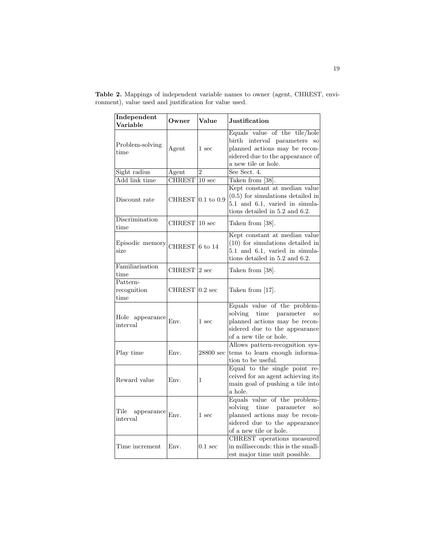| Independent<br>Variable                         | Owner                     | Value                         | Justification                                                                                                                                                      |  |
|-------------------------------------------------|---------------------------|-------------------------------|--------------------------------------------------------------------------------------------------------------------------------------------------------------------|--|
| Problem-solving<br>time                         | Agent                     | $1 \sec$                      | Equals value of the tile/hole<br>birth interval parameters<br>SO<br>planned actions may be recon-<br>sidered due to the appearance of<br>a new tile or hole.       |  |
| Sight radius                                    | Agent                     | $\overline{2}$                | See Sect. 4.                                                                                                                                                       |  |
| Add link time                                   | <b>CHREST</b>             | 10 <sub>sec</sub>             | Taken from [38].                                                                                                                                                   |  |
| Discount rate                                   |                           | CHREST $ 0.1 \text{ to } 0.9$ | Kept constant at median value<br>$(0.5)$ for simulations detailed in<br>5.1 and 6.1, varied in simula-<br>tions detailed in 5.2 and 6.2.                           |  |
| Discrimination<br>time                          | CHREST 10 sec             |                               | Taken from [38].                                                                                                                                                   |  |
| Episodic memory CHREST $\big 6$ to $14$<br>size |                           |                               | Kept constant at median value<br>$(10)$ for simulations detailed in<br>5.1 and 6.1, varied in simula-<br>tions detailed in 5.2 and 6.2.                            |  |
| Familiarisation<br>time                         | CHREST 2 sec              |                               | Taken from [38].                                                                                                                                                   |  |
| Pattern-<br>recognition<br>time                 | CHREST $ 0.2 \text{ sec}$ |                               | Taken from $[17]$ .                                                                                                                                                |  |
| Hole appearance<br>interval                     | Env.                      | $1 \sec$                      | Equals value of the problem-<br>solving time<br>parameter<br><b>SO</b><br>planned actions may be recon-<br>sidered due to the appearance<br>of a new tile or hole. |  |
| Play time                                       | Env.                      | $28800 \text{ sec}$           | Allows pattern-recognition sys-<br>tems to learn enough informa-<br>tion to be useful.                                                                             |  |
| Reward value                                    | Env.                      | 1                             | Equal to the single point re-<br>ceived for an agent achieving its<br>main goal of pushing a tile into<br>a hole.                                                  |  |
| Tile<br>${\it appearance}$<br>interval          | Env.                      | $1 \text{ sec}$               | Equals value of the problem-<br>solving time parameter<br><b>SO</b><br>planned actions may be recon-<br>sidered due to the appearance<br>of a new tile or hole.    |  |
| Time increment                                  | Env.                      | $0.1 \text{ sec}$             | CHREST operations measured<br>in milliseconds: this is the small-<br>est major time unit possible.                                                                 |  |

Table 2. Mappings of independent variable names to owner (agent, CHREST, environment), value used and justification for value used.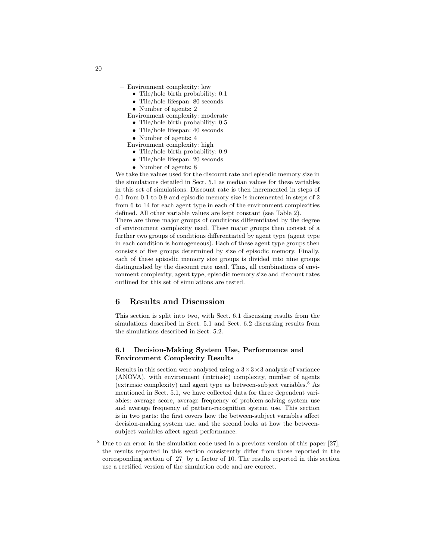- Environment complexity: low
	- Tile/hole birth probability: 0.1
	- Tile/hole lifespan: 80 seconds
	- Number of agents: 2
- Environment complexity: moderate
	- Tile/hole birth probability:  $0.5$
	- Tile/hole lifespan: 40 seconds
	- Number of agents: 4
- Environment complexity: high • Tile/hole birth probability: 0.9
	- Tile/hole lifespan: 20 seconds
	-
	- Number of agents: 8

We take the values used for the discount rate and episodic memory size in the simulations detailed in Sect. 5.1 as median values for these variables in this set of simulations. Discount rate is then incremented in steps of 0.1 from 0.1 to 0.9 and episodic memory size is incremented in steps of 2 from 6 to 14 for each agent type in each of the environment complexities defined. All other variable values are kept constant (see Table 2).

There are three major groups of conditions differentiated by the degree of environment complexity used. These major groups then consist of a further two groups of conditions differentiated by agent type (agent type in each condition is homogeneous). Each of these agent type groups then consists of five groups determined by size of episodic memory. Finally, each of these episodic memory size groups is divided into nine groups distinguished by the discount rate used. Thus, all combinations of environment complexity, agent type, episodic memory size and discount rates outlined for this set of simulations are tested.

#### 6 Results and Discussion

This section is split into two, with Sect. 6.1 discussing results from the simulations described in Sect. 5.1 and Sect. 6.2 discussing results from the simulations described in Sect. 5.2.

#### 6.1 Decision-Making System Use, Performance and Environment Complexity Results

Results in this section were analysed using a  $3 \times 3 \times 3$  analysis of variance (ANOVA), with environment (intrinsic) complexity, number of agents (extrinsic complexity) and agent type as between-subject variables.<sup>8</sup> As mentioned in Sect. 5.1, we have collected data for three dependent variables: average score, average frequency of problem-solving system use and average frequency of pattern-recognition system use. This section is in two parts: the first covers how the between-subject variables affect decision-making system use, and the second looks at how the betweensubject variables affect agent performance.

20

<sup>8</sup> Due to an error in the simulation code used in a previous version of this paper [27], the results reported in this section consistently differ from those reported in the corresponding section of [27] by a factor of 10. The results reported in this section use a rectified version of the simulation code and are correct.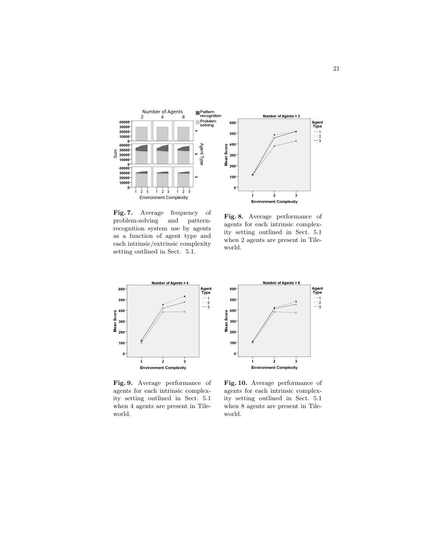

Fig. 7. Average frequency of problem-solving and patternrecognition system use by agents as a function of agent type and each intrinsic/extrinsic complexity setting outlined in Sect. 5.1.

Fig. 8. Average performance of agents for each intrinsic complexity setting outlined in Sect. 5.1 when 2 agents are present in Tileworld.

Number of Agents = 8



Agent<br>Type 600  $\frac{-1}{-2}$ <br> $\frac{-2}{-3}$  $500 \frac{8}{300}$ <br> $\frac{400}{2}$ <br> $\frac{300}{2}$ Mean 200  $100$  $\mathbf{0}^ \frac{1}{2}$  $\frac{1}{3}$ **Environment Complexity** 

Fig. 9. Average performance of agents for each intrinsic complexity setting outlined in Sect. 5.1 when 4 agents are present in Tileworld.

Fig. 10. Average performance of agents for each intrinsic complexity setting outlined in Sect. 5.1 when 8 agents are present in Tileworld.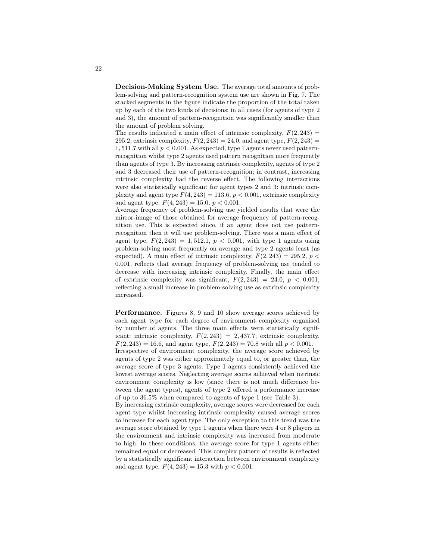Decision-Making System Use. The average total amounts of problem-solving and pattern-recognition system use are shown in Fig. 7. The stacked segments in the figure indicate the proportion of the total taken up by each of the two kinds of decisions: in all cases (for agents of type 2 and 3), the amount of pattern-recognition was significantly smaller than the amount of problem solving.

The results indicated a main effect of intrinsic complexity,  $F(2, 243) =$ 295.2, extrinsic complexity,  $F(2, 243) = 24.0$ , and agent type,  $F(2, 243) =$ 1, 511.7 with all  $p < 0.001$ . As expected, type 1 agents never used patternrecognition whilst type 2 agents used pattern recognition more frequently than agents of type 3. By increasing extrinsic complexity, agents of type 2 and 3 decreased their use of pattern-recognition; in contrast, increasing intrinsic complexity had the reverse effect. The following interactions were also statistically significant for agent types 2 and 3: intrinsic complexity and agent type  $F(4, 243) = 113.6, p < 0.001$ , extrinsic complexity and agent type:  $F(4, 243) = 15.0, p < 0.001$ .

Average frequency of problem-solving use yielded results that were the mirror-image of those obtained for average frequency of pattern-recognition use. This is expected since, if an agent does not use patternrecognition then it will use problem-solving. There was a main effect of agent type,  $F(2, 243) = 1,512.1, p < 0.001$ , with type 1 agents using problem-solving most frequently on average and type 2 agents least (as expected). A main effect of intrinsic complexity,  $F(2, 243) = 295.2$ ,  $p <$ 0.001, reflects that average frequency of problem-solving use tended to decrease with increasing intrinsic complexity. Finally, the main effect of extrinsic complexity was significant,  $F(2, 243) = 24.0, p < 0.001,$ reflecting a small increase in problem-solving use as extrinsic complexity increased.

Performance. Figures 8, 9 and 10 show average scores achieved by each agent type for each degree of environment complexity organised by number of agents. The three main effects were statistically significant: intrinsic complexity,  $F(2, 243) = 2,437.7$ , extrinsic complexity,  $F(2, 243) = 16.6$ , and agent type,  $F(2, 243) = 70.8$  with all  $p < 0.001$ .

Irrespective of environment complexity, the average score achieved by agents of type 2 was either approximately equal to, or greater than, the average score of type 3 agents. Type 1 agents consistently achieved the lowest average scores. Neglecting average scores achieved when intrinsic environment complexity is low (since there is not much difference between the agent types), agents of type 2 offered a performance increase of up to 36.5% when compared to agents of type 1 (see Table 3).

By increasing extrinsic complexity, average scores were decreased for each agent type whilst increasing intrinsic complexity caused average scores to increase for each agent type. The only exception to this trend was the average score obtained by type 1 agents when there were 4 or 8 players in the environment and intrinsic complexity was increased from moderate to high. In these conditions, the average score for type 1 agents either remained equal or decreased. This complex pattern of results is reflected by a statistically significant interaction between environment complexity and agent type,  $F(4, 243) = 15.3$  with  $p < 0.001$ .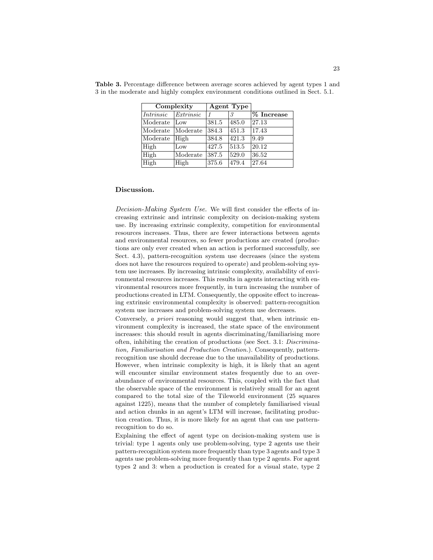| Complexity |           | Agent Type |       |            |
|------------|-----------|------------|-------|------------|
| Intrinsic  | Extrinsic |            | 3     | % Increase |
| Moderate   | Low       | 381.5      | 485.0 | 27.13      |
| Moderate   | Moderate  | 384.3      | 451.3 | 17.43      |
| Moderate   | High      | 384.8      | 421.3 | 9.49       |
| High       | Low       | 427.5      | 513.5 | 20.12      |
| High       | Moderate  | 387.5      | 529.0 | 36.52      |
| High       | High      | 375.6      | 479.4 | 27.64      |

Table 3. Percentage difference between average scores achieved by agent types 1 and 3 in the moderate and highly complex environment conditions outlined in Sect. 5.1.

#### Discussion.

Decision-Making System Use. We will first consider the effects of increasing extrinsic and intrinsic complexity on decision-making system use. By increasing extrinsic complexity, competition for environmental resources increases. Thus, there are fewer interactions between agents and environmental resources, so fewer productions are created (productions are only ever created when an action is performed successfully, see Sect. 4.3), pattern-recognition system use decreases (since the system does not have the resources required to operate) and problem-solving system use increases. By increasing intrinsic complexity, availability of environmental resources increases. This results in agents interacting with environmental resources more frequently, in turn increasing the number of productions created in LTM. Consequently, the opposite effect to increasing extrinsic environmental complexity is observed: pattern-recognition system use increases and problem-solving system use decreases.

Conversely, a priori reasoning would suggest that, when intrinsic environment complexity is increased, the state space of the environment increases: this should result in agents discriminating/familiarising more often, inhibiting the creation of productions (see Sect. 3.1: Discrimination, Familiarisation and Production Creation.). Consequently, patternrecognition use should decrease due to the unavailability of productions. However, when intrinsic complexity is high, it is likely that an agent will encounter similar environment states frequently due to an overabundance of environmental resources. This, coupled with the fact that the observable space of the environment is relatively small for an agent compared to the total size of the Tileworld environment (25 squares against 1225), means that the number of completely familiarised visual and action chunks in an agent's LTM will increase, facilitating production creation. Thus, it is more likely for an agent that can use patternrecognition to do so.

Explaining the effect of agent type on decision-making system use is trivial: type 1 agents only use problem-solving, type 2 agents use their pattern-recognition system more frequently than type 3 agents and type 3 agents use problem-solving more frequently than type 2 agents. For agent types 2 and 3: when a production is created for a visual state, type 2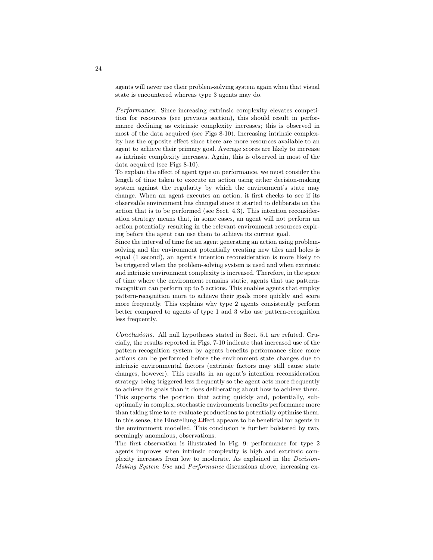agents will never use their problem-solving system again when that visual state is encountered whereas type 3 agents may do.

Performance. Since increasing extrinsic complexity elevates competition for resources (see previous section), this should result in performance declining as extrinsic complexity increases; this is observed in most of the data acquired (see Figs 8-10). Increasing intrinsic complexity has the opposite effect since there are more resources available to an agent to achieve their primary goal. Average scores are likely to increase as intrinsic complexity increases. Again, this is observed in most of the data acquired (see Figs 8-10).

To explain the effect of agent type on performance, we must consider the length of time taken to execute an action using either decision-making system against the regularity by which the environment's state may change. When an agent executes an action, it first checks to see if its observable environment has changed since it started to deliberate on the action that is to be performed (see Sect. 4.3). This intention reconsideration strategy means that, in some cases, an agent will not perform an action potentially resulting in the relevant environment resources expiring before the agent can use them to achieve its current goal.

Since the interval of time for an agent generating an action using problemsolving and the environment potentially creating new tiles and holes is equal (1 second), an agent's intention reconsideration is more likely to be triggered when the problem-solving system is used and when extrinsic and intrinsic environment complexity is increased. Therefore, in the space of time where the environment remains static, agents that use patternrecognition can perform up to 5 actions. This enables agents that employ pattern-recognition more to achieve their goals more quickly and score more frequently. This explains why type 2 agents consistently perform better compared to agents of type 1 and 3 who use pattern-recognition less frequently.

Conclusions. All null hypotheses stated in Sect. 5.1 are refuted. Crucially, the results reported in Figs. 7-10 indicate that increased use of the pattern-recognition system by agents benefits performance since more actions can be performed before the environment state changes due to intrinsic environmental factors (extrinsic factors may still cause state changes, however). This results in an agent's intention reconsideration strategy being triggered less frequently so the agent acts more frequently to achieve its goals than it does deliberating about how to achieve them. This supports the position that acting quickly and, potentially, suboptimally in complex, stochastic environments benefits performance more than taking time to re-evaluate productions to potentially optimise them. In this sense, the Einstellung Effect appears to be beneficial for agents in the environment modelled. This conclusion is further bolstered by two, seemingly anomalous, observations.

The first observation is illustrated in Fig. 9: performance for type 2 agents improves when intrinsic complexity is high and extrinsic complexity increases from low to moderate. As explained in the Decision-Making System Use and Performance discussions above, increasing ex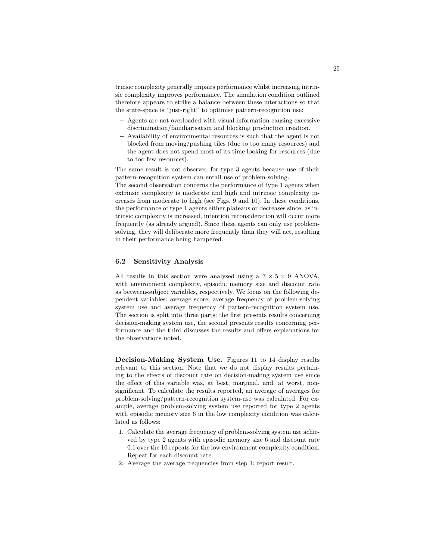trinsic complexity generally impairs performance whilst increasing intrinsic complexity improves performance. The simulation condition outlined therefore appears to strike a balance between these interactions so that the state-space is "just-right" to optimise pattern-recognition use:

- Agents are not overloaded with visual information causing excessive discrimination/familiarisation and blocking production creation.
- Availability of environmental resources is such that the agent is not blocked from moving/pushing tiles (due to too many resources) and the agent does not spend most of its time looking for resources (due to too few resources).

The same result is not observed for type 3 agents because use of their pattern-recognition system can entail use of problem-solving.

The second observation concerns the performance of type 1 agents when extrinsic complexity is moderate and high and intrinsic complexity increases from moderate to high (see Figs. 9 and 10). In these conditions, the performance of type 1 agents either plateaus or decreases since, as intrinsic complexity is increased, intention reconsideration will occur more frequently (as already argued). Since these agents can only use problemsolving, they will deliberate more frequently than they will act, resulting in their performance being hampered.

#### 6.2 Sensitivity Analysis

All results in this section were analysed using a  $3 \times 5 \times 9$  ANOVA, with environment complexity, episodic memory size and discount rate as between-subject variables, respectively. We focus on the following dependent variables: average score, average frequency of problem-solving system use and average frequency of pattern-recognition system use. The section is split into three parts: the first presents results concerning decision-making system use, the second presents results concerning performance and the third discusses the results and offers explanations for the observations noted.

Decision-Making System Use. Figures 11 to 14 display results relevant to this section. Note that we do not display results pertaining to the effects of discount rate on decision-making system use since the effect of this variable was, at best, marginal, and, at worst, nonsignificant. To calculate the results reported, an average of averages for problem-solving/pattern-recognition system-use was calculated. For example, average problem-solving system use reported for type 2 agents with episodic memory size 6 in the low complexity condition was calculated as follows:

- 1. Calculate the average frequency of problem-solving system use achieved by type 2 agents with episodic memory size 6 and discount rate 0.1 over the 10 repeats for the low environment complexity condition. Repeat for each discount rate.
- 2. Average the average frequencies from step 1; report result.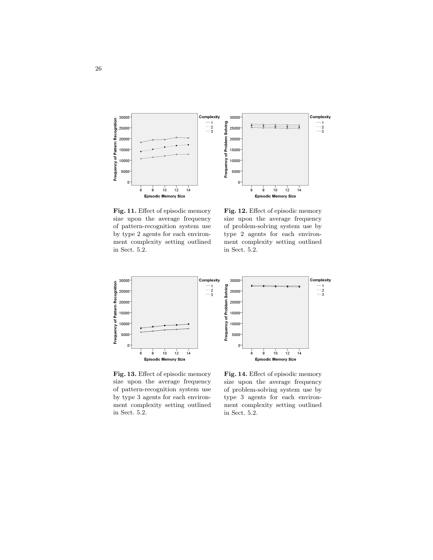

Fig. 11. Effect of episodic memory size upon the average frequency of pattern-recognition system use by type 2 agents for each environment complexity setting outlined in Sect. 5.2.

Fig. 12. Effect of episodic memory size upon the average frequency of problem-solving system use by type 2 agents for each environment complexity setting outlined in Sect. 5.2.



Fig. 13. Effect of episodic memory size upon the average frequency of pattern-recognition system use by type 3 agents for each environment complexity setting outlined in Sect. 5.2.

Fig. 14. Effect of episodic memory size upon the average frequency of problem-solving system use by type 3 agents for each environment complexity setting outlined in Sect. 5.2.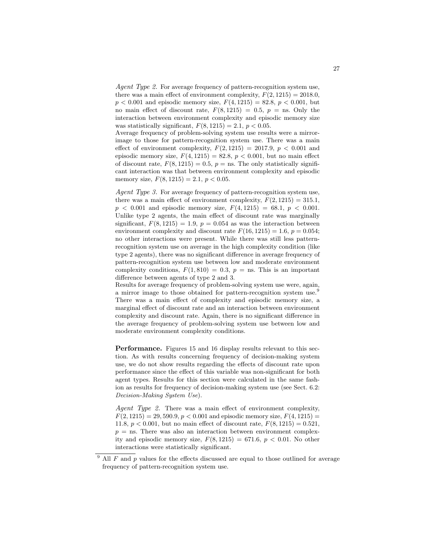Agent Type 2. For average frequency of pattern-recognition system use, there was a main effect of environment complexity,  $F(2, 1215) = 2018.0$ ,  $p < 0.001$  and episodic memory size,  $F(4, 1215) = 82.8, p < 0.001$ , but no main effect of discount rate,  $F(8, 1215) = 0.5$ ,  $p = \text{ns}$ . Only the interaction between environment complexity and episodic memory size was statistically significant,  $F(8, 1215) = 2.1, p < 0.05$ .

Average frequency of problem-solving system use results were a mirrorimage to those for pattern-recognition system use. There was a main effect of environment complexity,  $F(2, 1215) = 2017.9$ ,  $p < 0.001$  and episodic memory size,  $F(4, 1215) = 82.8, p < 0.001$ , but no main effect of discount rate,  $F(8, 1215) = 0.5$ ,  $p = \text{ns}$ . The only statistically significant interaction was that between environment complexity and episodic memory size,  $F(8, 1215) = 2.1, p < 0.05$ .

Agent Type 3. For average frequency of pattern-recognition system use, there was a main effect of environment complexity,  $F(2, 1215) = 315.1$ ,  $p < 0.001$  and episodic memory size,  $F(4, 1215) = 68.1, p < 0.001$ . Unlike type 2 agents, the main effect of discount rate was marginally significant,  $F(8, 1215) = 1.9$ ,  $p = 0.054$  as was the interaction between environment complexity and discount rate  $F(16, 1215) = 1.6$ ,  $p = 0.054$ ; no other interactions were present. While there was still less patternrecognition system use on average in the high complexity condition (like type 2 agents), there was no significant difference in average frequency of pattern-recognition system use between low and moderate environment complexity conditions,  $F(1, 810) = 0.3$ ,  $p = \text{ns}$ . This is an important difference between agents of type 2 and 3.

Results for average frequency of problem-solving system use were, again, a mirror image to those obtained for pattern-recognition system use.<sup>9</sup> There was a main effect of complexity and episodic memory size, a marginal effect of discount rate and an interaction between environment complexity and discount rate. Again, there is no significant difference in the average frequency of problem-solving system use between low and moderate environment complexity conditions.

Performance. Figures 15 and 16 display results relevant to this section. As with results concerning frequency of decision-making system use, we do not show results regarding the effects of discount rate upon performance since the effect of this variable was non-significant for both agent types. Results for this section were calculated in the same fashion as results for frequency of decision-making system use (see Sect. 6.2: Decision-Making System Use).

Agent Type 2. There was a main effect of environment complexity,  $F(2, 1215) = 29,590.9, p < 0.001$  and episodic memory size,  $F(4, 1215) =$ 11.8,  $p < 0.001$ , but no main effect of discount rate,  $F(8, 1215) = 0.521$ ,  $p =$ ns. There was also an interaction between environment complexity and episodic memory size,  $F(8, 1215) = 671.6, p < 0.01$ . No other interactions were statistically significant.

 $9$  All F and p values for the effects discussed are equal to those outlined for average frequency of pattern-recognition system use.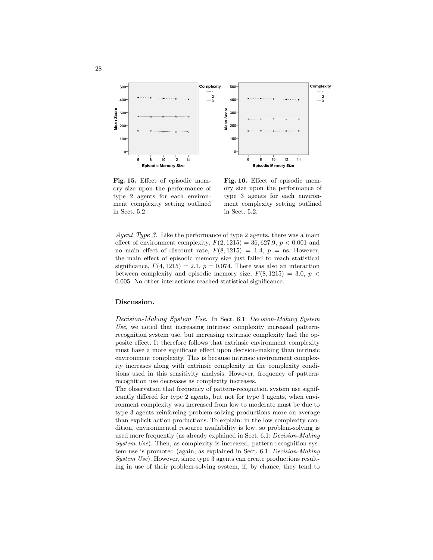

Fig. 15. Effect of episodic memory size upon the performance of type 2 agents for each environment complexity setting outlined in Sect. 5.2.

Fig. 16. Effect of episodic memory size upon the performance of type 3 agents for each environment complexity setting outlined in Sect. 5.2.

Agent Type 3. Like the performance of type 2 agents, there was a main effect of environment complexity,  $F(2, 1215) = 36,627.9, p < 0.001$  and no main effect of discount rate,  $F(8, 1215) = 1.4$ ,  $p =$ ns. However, the main effect of episodic memory size just failed to reach statistical significance,  $F(4, 1215) = 2.1$ ,  $p = 0.074$ . There was also an interaction between complexity and episodic memory size,  $F(8, 1215) = 3.0, p <$ 0.005. No other interactions reached statistical significance.

#### Discussion.

Decision-Making System Use. In Sect. 6.1: Decision-Making System Use, we noted that increasing intrinsic complexity increased patternrecognition system use, but increasing extrinsic complexity had the opposite effect. It therefore follows that extrinsic environment complexity must have a more significant effect upon decision-making than intrinsic environment complexity. This is because intrinsic environment complexity increases along with extrinsic complexity in the complexity conditions used in this sensitivity analysis. However, frequency of patternrecognition use decreases as complexity increases.

The observation that frequency of pattern-recognition system use significantly differed for type 2 agents, but not for type 3 agents, when environment complexity was increased from low to moderate must be due to type 3 agents reinforcing problem-solving productions more on average than explicit action productions. To explain: in the low complexity condition, environmental resource availability is low, so problem-solving is used more frequently (as already explained in Sect. 6.1: Decision-Making System Use). Then, as complexity is increased, pattern-recognition system use is promoted (again, as explained in Sect. 6.1: Decision-Making System Use). However, since type 3 agents can create productions resulting in use of their problem-solving system, if, by chance, they tend to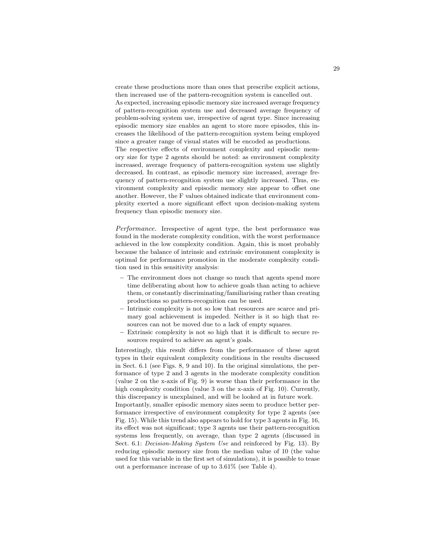create these productions more than ones that prescribe explicit actions, then increased use of the pattern-recognition system is cancelled out.

As expected, increasing episodic memory size increased average frequency of pattern-recognition system use and decreased average frequency of problem-solving system use, irrespective of agent type. Since increasing episodic memory size enables an agent to store more episodes, this increases the likelihood of the pattern-recognition system being employed since a greater range of visual states will be encoded as productions.

The respective effects of environment complexity and episodic memory size for type 2 agents should be noted: as environment complexity increased, average frequency of pattern-recognition system use slightly decreased. In contrast, as episodic memory size increased, average frequency of pattern-recognition system use slightly increased. Thus, environment complexity and episodic memory size appear to offset one another. However, the F values obtained indicate that environment complexity exerted a more significant effect upon decision-making system frequency than episodic memory size.

Performance. Irrespective of agent type, the best performance was found in the moderate complexity condition, with the worst performance achieved in the low complexity condition. Again, this is most probably because the balance of intrinsic and extrinsic environment complexity is optimal for performance promotion in the moderate complexity condition used in this sensitivity analysis:

- The environment does not change so much that agents spend more time deliberating about how to achieve goals than acting to achieve them, or constantly discriminating/familiarising rather than creating productions so pattern-recognition can be used.
- Intrinsic complexity is not so low that resources are scarce and primary goal achievement is impeded. Neither is it so high that resources can not be moved due to a lack of empty squares.
- Extrinsic complexity is not so high that it is difficult to secure resources required to achieve an agent's goals.

Interestingly, this result differs from the performance of these agent types in their equivalent complexity conditions in the results discussed in Sect. 6.1 (see Figs. 8, 9 and 10). In the original simulations, the performance of type 2 and 3 agents in the moderate complexity condition (value 2 on the x-axis of Fig. 9) is worse than their performance in the high complexity condition (value 3 on the x-axis of Fig. 10). Currently, this discrepancy is unexplained, and will be looked at in future work.

Importantly, smaller episodic memory sizes seem to produce better performance irrespective of environment complexity for type 2 agents (see Fig. 15). While this trend also appears to hold for type 3 agents in Fig. 16, its effect was not significant; type 3 agents use their pattern-recognition systems less frequently, on average, than type 2 agents (discussed in Sect. 6.1: *Decision-Making System Use* and reinforced by Fig. 13). By reducing episodic memory size from the median value of 10 (the value used for this variable in the first set of simulations), it is possible to tease out a performance increase of up to 3.61% (see Table 4).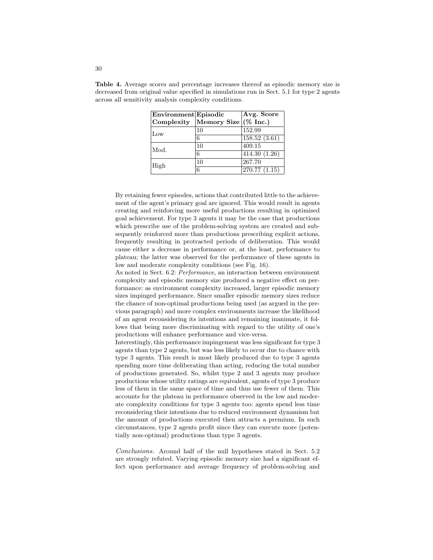| Environment Episodic |             | Avg. Score   |
|----------------------|-------------|--------------|
| Complexity           | Memory Size | $(\%$ Inc.)  |
| Low                  | 10          | 152.99       |
|                      | 6           | 158.52(3.61) |
| Mod.                 | 10          | 409.15       |
|                      | 6           | 414.30(1.26) |
| High                 | 10          | 267.70       |
|                      | 6           | 270.77(1.15) |

Table 4. Average scores and percentage increases thereof as episodic memory size is decreased from original value specified in simulations run in Sect. 5.1 for type 2 agents across all sensitivity analysis complexity conditions.

By retaining fewer episodes, actions that contributed little to the achievement of the agent's primary goal are ignored. This would result in agents creating and reinforcing more useful productions resulting in optimised goal achievement. For type 3 agents it may be the case that productions which prescribe use of the problem-solving system are created and subsequently reinforced more than productions prescribing explicit actions, frequently resulting in protracted periods of deliberation. This would cause either a decrease in performance or, at the least, performance to plateau; the latter was observed for the performance of these agents in low and moderate complexity conditions (see Fig. 16).

As noted in Sect. 6.2: Performance, an interaction between environment complexity and episodic memory size produced a negative effect on performance: as environment complexity increased, larger episodic memory sizes impinged performance. Since smaller episodic memory sizes reduce the chance of non-optimal productions being used (as argued in the previous paragraph) and more complex environments increase the likelihood of an agent reconsidering its intentions and remaining inanimate, it follows that being more discriminating with regard to the utility of one's productions will enhance performance and vice-versa.

Interestingly, this performance impingement was less significant for type 3 agents than type 2 agents, but was less likely to occur due to chance with type 3 agents. This result is most likely produced due to type 3 agents spending more time deliberating than acting, reducing the total number of productions generated. So, whilst type 2 and 3 agents may produce productions whose utility ratings are equivalent, agents of type 3 produce less of them in the same space of time and thus use fewer of them. This accounts for the plateau in performance observed in the low and moderate complexity conditions for type 3 agents too: agents spend less time reconsidering their intentions due to reduced environment dynamism but the amount of productions executed then attracts a premium. In such circumstances, type 2 agents profit since they can execute more (potentially non-optimal) productions than type 3 agents.

Conclusions. Around half of the null hypotheses stated in Sect. 5.2 are strongly refuted. Varying episodic memory size had a significant effect upon performance and average frequency of problem-solving and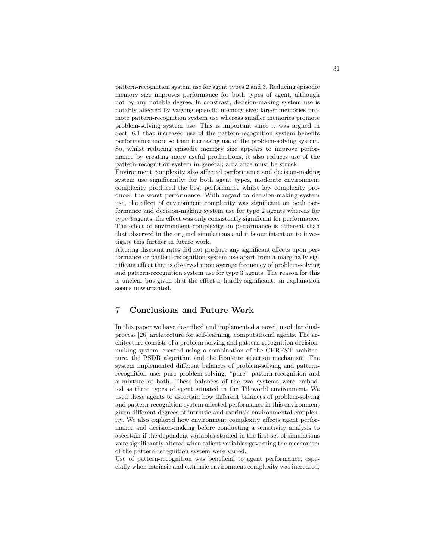pattern-recognition system use for agent types 2 and 3. Reducing episodic memory size improves performance for both types of agent, although not by any notable degree. In constrast, decision-making system use is notably affected by varying episodic memory size: larger memories promote pattern-recognition system use whereas smaller memories promote problem-solving system use. This is important since it was argued in Sect. 6.1 that increased use of the pattern-recognition system benefits performance more so than increasing use of the problem-solving system. So, whilst reducing episodic memory size appears to improve performance by creating more useful productions, it also reduces use of the pattern-recognition system in general; a balance must be struck.

Environment complexity also affected performance and decision-making system use significantly: for both agent types, moderate environment complexity produced the best performance whilst low complexity produced the worst performance. With regard to decision-making system use, the effect of environment complexity was significant on both performance and decision-making system use for type 2 agents whereas for type 3 agents, the effect was only consistently significant for performance. The effect of environment complexity on performance is different than that observed in the original simulations and it is our intention to investigate this further in future work.

Altering discount rates did not produce any significant effects upon performance or pattern-recognition system use apart from a marginally significant effect that is observed upon average frequency of problem-solving and pattern-recognition system use for type 3 agents. The reason for this is unclear but given that the effect is hardly significant, an explanation seems unwarranted.

#### 7 Conclusions and Future Work

In this paper we have described and implemented a novel, modular dualprocess [26] architecture for self-learning, computational agents. The architecture consists of a problem-solving and pattern-recognition decisionmaking system, created using a combination of the CHREST architecture, the PSDR algorithm and the Roulette selection mechanism. The system implemented different balances of problem-solving and patternrecognition use: pure problem-solving, "pure" pattern-recognition and a mixture of both. These balances of the two systems were embodied as three types of agent situated in the Tileworld environment. We used these agents to ascertain how different balances of problem-solving and pattern-recognition system affected performance in this environment given different degrees of intrinsic and extrinsic environmental complexity. We also explored how environment complexity affects agent performance and decision-making before conducting a sensitivity analysis to ascertain if the dependent variables studied in the first set of simulations were significantly altered when salient variables governing the mechanism of the pattern-recognition system were varied.

Use of pattern-recognition was beneficial to agent performance, especially when intrinsic and extrinsic environment complexity was increased,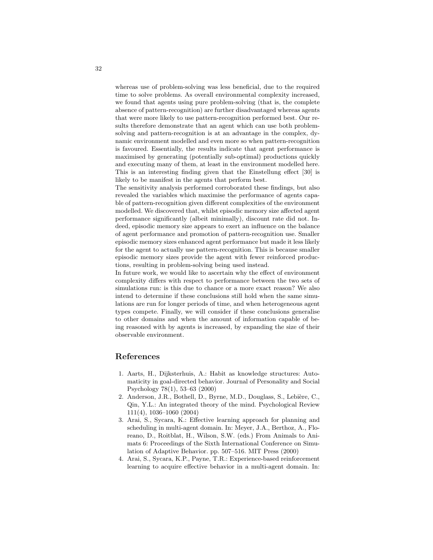whereas use of problem-solving was less beneficial, due to the required time to solve problems. As overall environmental complexity increased, we found that agents using pure problem-solving (that is, the complete absence of pattern-recognition) are further disadvantaged whereas agents that were more likely to use pattern-recognition performed best. Our results therefore demonstrate that an agent which can use both problemsolving and pattern-recognition is at an advantage in the complex, dynamic environment modelled and even more so when pattern-recognition is favoured. Essentially, the results indicate that agent performance is maximised by generating (potentially sub-optimal) productions quickly and executing many of them, at least in the environment modelled here. This is an interesting finding given that the Einstellung effect [30] is likely to be manifest in the agents that perform best.

The sensitivity analysis performed corroborated these findings, but also revealed the variables which maximise the performance of agents capable of pattern-recognition given different complexities of the environment modelled. We discovered that, whilst episodic memory size affected agent performance significantly (albeit minimally), discount rate did not. Indeed, episodic memory size appears to exert an influence on the balance of agent performance and promotion of pattern-recognition use. Smaller episodic memory sizes enhanced agent performance but made it less likely for the agent to actually use pattern-recognition. This is because smaller episodic memory sizes provide the agent with fewer reinforced productions, resulting in problem-solving being used instead.

In future work, we would like to ascertain why the effect of environment complexity differs with respect to performance between the two sets of simulations run: is this due to chance or a more exact reason? We also intend to determine if these conclusions still hold when the same simulations are run for longer periods of time, and when heterogeneous agent types compete. Finally, we will consider if these conclusions generalise to other domains and when the amount of information capable of being reasoned with by agents is increased, by expanding the size of their observable environment.

#### References

- 1. Aarts, H., Dijksterhuis, A.: Habit as knowledge structures: Automaticity in goal-directed behavior. Journal of Personality and Social Psychology 78(1), 53–63 (2000)
- 2. Anderson, J.R., Bothell, D., Byrne, M.D., Douglass, S., Lebière, C., Qin, Y.L.: An integrated theory of the mind. Psychological Review 111(4), 1036–1060 (2004)
- 3. Arai, S., Sycara, K.: Effective learning approach for planning and scheduling in multi-agent domain. In: Meyer, J.A., Berthoz, A., Floreano, D., Roitblat, H., Wilson, S.W. (eds.) From Animals to Animats 6: Proceedings of the Sixth International Conference on Simulation of Adaptive Behavior. pp. 507–516. MIT Press (2000)
- 4. Arai, S., Sycara, K.P., Payne, T.R.: Experience-based reinforcement learning to acquire effective behavior in a multi-agent domain. In: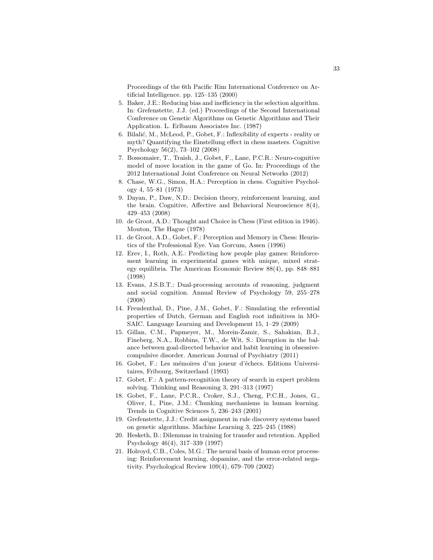Proceedings of the 6th Pacific Rim International Conference on Artificial Intelligence. pp. 125–135 (2000)

- 5. Baker, J.E.: Reducing bias and inefficiency in the selection algorithm. In: Grefenstette, J.J. (ed.) Proceedings of the Second International Conference on Genetic Algorithms on Genetic Algorithms and Their Application. L. Erlbaum Associates Inc. (1987)
- 6. Bilalić, M., McLeod, P., Gobet, F.: Inflexibility of experts reality or myth? Quantifying the Einstellung effect in chess masters. Cognitive Psychology 56(2), 73–102 (2008)
- 7. Bossomaier, T., Traish, J., Gobet, F., Lane, P.C.R.: Neuro-cognitive model of move location in the game of Go. In: Proceedings of the 2012 International Joint Conference on Neural Networks (2012)
- 8. Chase, W.G., Simon, H.A.: Perception in chess. Cognitive Psychology 4, 55–81 (1973)
- 9. Dayan, P., Daw, N.D.: Decision theory, reinforcement learning, and the brain. Cognitive, Affective and Behavioral Neuroscience 8(4), 429–453 (2008)
- 10. de Groot, A.D.: Thought and Choice in Chess (First edition in 1946). Mouton, The Hague (1978)
- 11. de Groot, A.D., Gobet, F.: Perception and Memory in Chess: Heuristics of the Professional Eye. Van Gorcum, Assen (1996)
- 12. Erev, I., Roth, A.E.: Predicting how people play games: Reinforcement learning in experimental games with unique, mixed strategy equilibria. The American Economic Review 88(4), pp. 848–881 (1998)
- 13. Evans, J.S.B.T.: Dual-processing accounts of reasoning, judgment and social cognition. Annual Review of Psychology 59, 255–278 (2008)
- 14. Freudenthal, D., Pine, J.M., Gobet, F.: Simulating the referential properties of Dutch, German and English root infinitives in MO-SAIC. Language Learning and Development 15, 1–29 (2009)
- 15. Gillan, C.M., Papmeyer, M., Morein-Zamir, S., Sahakian, B.J., Fineberg, N.A., Robbins, T.W., de Wit, S.: Disruption in the balance between goal-directed behavior and habit learning in obsessivecompulsive disorder. American Journal of Psychiatry (2011)
- 16. Gobet, F.: Les mémoires d'un joueur d'échecs. Editions Universitaires, Fribourg, Switzerland (1993)
- 17. Gobet, F.: A pattern-recognition theory of search in expert problem solving. Thinking and Reasoning 3, 291–313 (1997)
- 18. Gobet, F., Lane, P.C.R., Croker, S.J., Cheng, P.C.H., Jones, G., Oliver, I., Pine, J.M.: Chunking mechanisms in human learning. Trends in Cognitive Sciences 5, 236–243 (2001)
- 19. Grefenstette, J.J.: Credit assignment in rule discovery systems based on genetic algorithms. Machine Learning 3, 225–245 (1988)
- 20. Hesketh, B.: Dilemmas in training for transfer and retention. Applied Psychology 46(4), 317–339 (1997)
- 21. Holroyd, C.B., Coles, M.G.: The neural basis of human error processing: Reinforcement learning, dopamine, and the error-related negativity. Psychological Review 109(4), 679–709 (2002)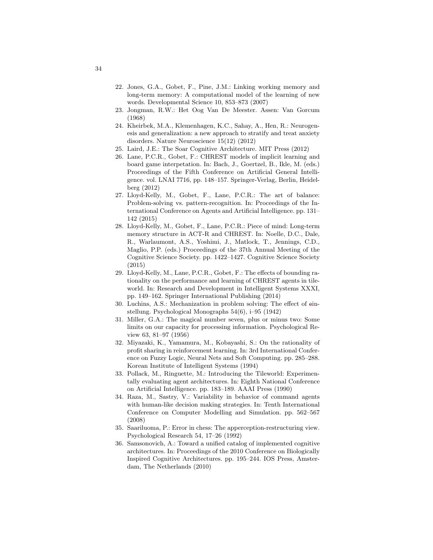- 22. Jones, G.A., Gobet, F., Pine, J.M.: Linking working memory and long-term memory: A computational model of the learning of new words. Developmental Science 10, 853–873 (2007)
- 23. Jongman, R.W.: Het Oog Van De Meester. Assen: Van Gorcum (1968)
- 24. Kheirbek, M.A., Klemenhagen, K.C., Sahay, A., Hen, R.: Neurogenesis and generalization: a new approach to stratify and treat anxiety disorders. Nature Neuroscience 15(12) (2012)
- 25. Laird, J.E.: The Soar Cognitive Architecture. MIT Press (2012)
- 26. Lane, P.C.R., Gobet, F.: CHREST models of implicit learning and board game interpetation. In: Bach, J., Goertzel, B., Ikle, M. (eds.) Proceedings of the Fifth Conference on Artificial General Intelligence. vol. LNAI 7716, pp. 148–157. Springer-Verlag, Berlin, Heidelberg (2012)
- 27. Lloyd-Kelly, M., Gobet, F., Lane, P.C.R.: The art of balance: Problem-solving vs. pattern-recognition. In: Proceedings of the International Conference on Agents and Artificial Intelligence. pp. 131– 142 (2015)
- 28. Lloyd-Kelly, M., Gobet, F., Lane, P.C.R.: Piece of mind: Long-term memory structure in ACT-R and CHREST. In: Noelle, D.C., Dale, R., Warlaumont, A.S., Yoshimi, J., Matlock, T., Jennings, C.D., Maglio, P.P. (eds.) Proceedings of the 37th Annual Meeting of the Cognitive Science Society. pp. 1422–1427. Cognitive Science Society (2015)
- 29. Lloyd-Kelly, M., Lane, P.C.R., Gobet, F.: The effects of bounding rationality on the performance and learning of CHREST agents in tileworld. In: Research and Development in Intelligent Systems XXXI, pp. 149–162. Springer International Publishing (2014)
- 30. Luchins, A.S.: Mechanization in problem solving: The effect of einstellung. Psychological Monographs 54(6), i–95 (1942)
- 31. Miller, G.A.: The magical number seven, plus or minus two: Some limits on our capacity for processing information. Psychological Review 63, 81–97 (1956)
- 32. Miyazaki, K., Yamamura, M., Kobayashi, S.: On the rationality of profit sharing in reinforcement learning. In: 3rd International Conference on Fuzzy Logic, Neural Nets and Soft Computing. pp. 285–288. Korean Institute of Intelligent Systems (1994)
- 33. Pollack, M., Ringuette, M.: Introducing the Tileworld: Experimentally evaluating agent architectures. In: Eighth National Conference on Artificial Intelligence. pp. 183–189. AAAI Press (1990)
- 34. Raza, M., Sastry, V.: Variability in behavior of command agents with human-like decision making strategies. In: Tenth International Conference on Computer Modelling and Simulation. pp. 562–567 (2008)
- 35. Saariluoma, P.: Error in chess: The apperception-restructuring view. Psychological Research 54, 17–26 (1992)
- 36. Samsonovich, A.: Toward a unified catalog of implemented cognitive architectures. In: Proceedings of the 2010 Conference on Biologically Inspired Cognitive Architectures. pp. 195–244. IOS Press, Amsterdam, The Netherlands (2010)